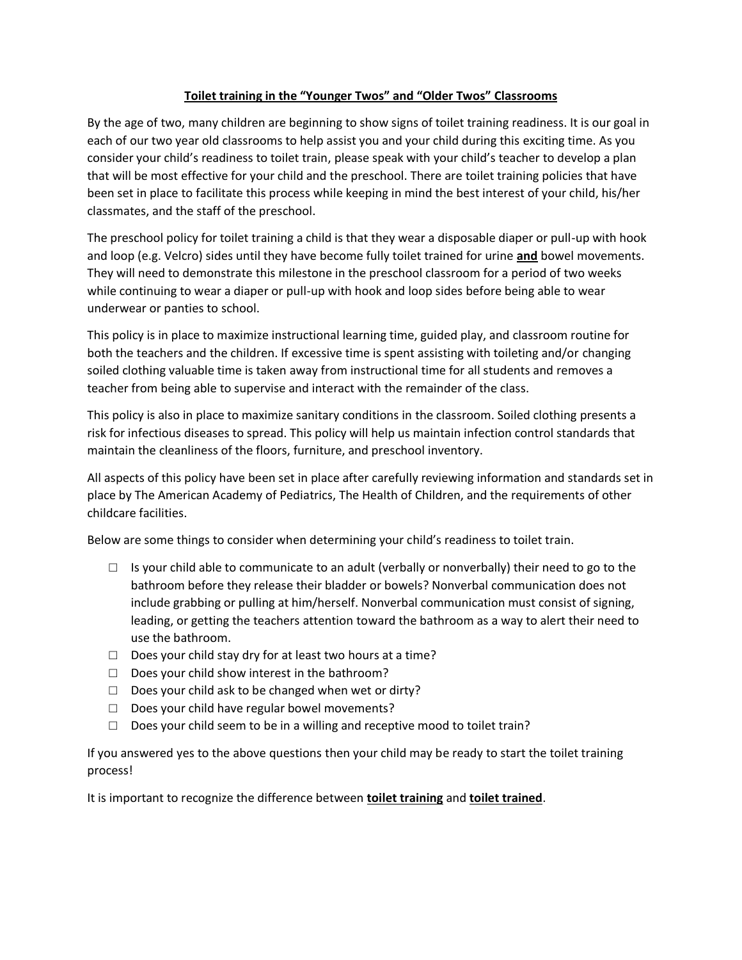## **Toilet training in the "Younger Twos" and "Older Twos" Classrooms**

By the age of two, many children are beginning to show signs of toilet training readiness. It is our goal in each of our two year old classrooms to help assist you and your child during this exciting time. As you consider your child's readiness to toilet train, please speak with your child's teacher to develop a plan that will be most effective for your child and the preschool. There are toilet training policies that have been set in place to facilitate this process while keeping in mind the best interest of your child, his/her classmates, and the staff of the preschool.

The preschool policy for toilet training a child is that they wear a disposable diaper or pull-up with hook and loop (e.g. Velcro) sides until they have become fully toilet trained for urine **and** bowel movements. They will need to demonstrate this milestone in the preschool classroom for a period of two weeks while continuing to wear a diaper or pull-up with hook and loop sides before being able to wear underwear or panties to school.

This policy is in place to maximize instructional learning time, guided play, and classroom routine for both the teachers and the children. If excessive time is spent assisting with toileting and/or changing soiled clothing valuable time is taken away from instructional time for all students and removes a teacher from being able to supervise and interact with the remainder of the class.

This policy is also in place to maximize sanitary conditions in the classroom. Soiled clothing presents a risk for infectious diseases to spread. This policy will help us maintain infection control standards that maintain the cleanliness of the floors, furniture, and preschool inventory.

All aspects of this policy have been set in place after carefully reviewing information and standards set in place by The American Academy of Pediatrics, The Health of Children, and the requirements of other childcare facilities.

Below are some things to consider when determining your child's readiness to toilet train.

- $\Box$  Is your child able to communicate to an adult (verbally or nonverbally) their need to go to the bathroom before they release their bladder or bowels? Nonverbal communication does not include grabbing or pulling at him/herself. Nonverbal communication must consist of signing, leading, or getting the teachers attention toward the bathroom as a way to alert their need to use the bathroom.
- $\Box$  Does your child stay dry for at least two hours at a time?
- □ Does your child show interest in the bathroom?
- $\Box$  Does your child ask to be changed when wet or dirty?
- □ Does your child have regular bowel movements?
- $\Box$  Does your child seem to be in a willing and receptive mood to toilet train?

If you answered yes to the above questions then your child may be ready to start the toilet training process!

It is important to recognize the difference between **toilet training** and **toilet trained**.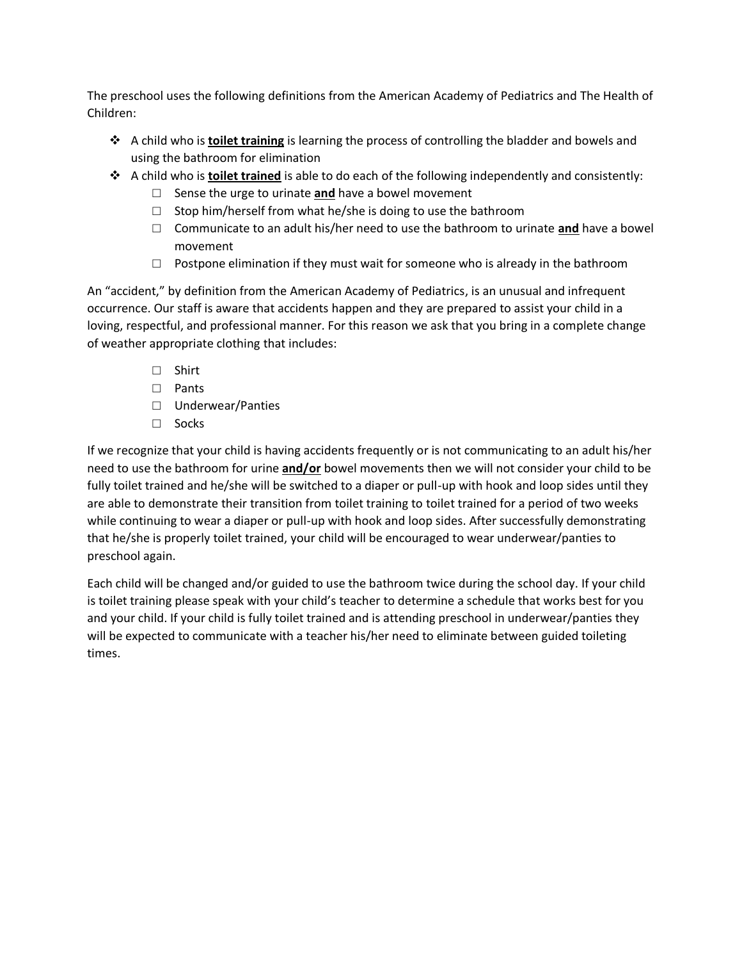The preschool uses the following definitions from the American Academy of Pediatrics and The Health of Children:

- ❖ A child who is **toilet training** is learning the process of controlling the bladder and bowels and using the bathroom for elimination
- ❖ A child who is **toilet trained** is able to do each of the following independently and consistently:
	- □ Sense the urge to urinate **and** have a bowel movement
	- $\Box$  Stop him/herself from what he/she is doing to use the bathroom
	- □ Communicate to an adult his/her need to use the bathroom to urinate **and** have a bowel movement
	- $\square$  Postpone elimination if they must wait for someone who is already in the bathroom

An "accident," by definition from the American Academy of Pediatrics, is an unusual and infrequent occurrence. Our staff is aware that accidents happen and they are prepared to assist your child in a loving, respectful, and professional manner. For this reason we ask that you bring in a complete change of weather appropriate clothing that includes:

- □ Shirt
- □ Pants
- □ Underwear/Panties
- □ Socks

If we recognize that your child is having accidents frequently or is not communicating to an adult his/her need to use the bathroom for urine **and/or** bowel movements then we will not consider your child to be fully toilet trained and he/she will be switched to a diaper or pull-up with hook and loop sides until they are able to demonstrate their transition from toilet training to toilet trained for a period of two weeks while continuing to wear a diaper or pull-up with hook and loop sides. After successfully demonstrating that he/she is properly toilet trained, your child will be encouraged to wear underwear/panties to preschool again.

Each child will be changed and/or guided to use the bathroom twice during the school day. If your child is toilet training please speak with your child's teacher to determine a schedule that works best for you and your child. If your child is fully toilet trained and is attending preschool in underwear/panties they will be expected to communicate with a teacher his/her need to eliminate between guided toileting times.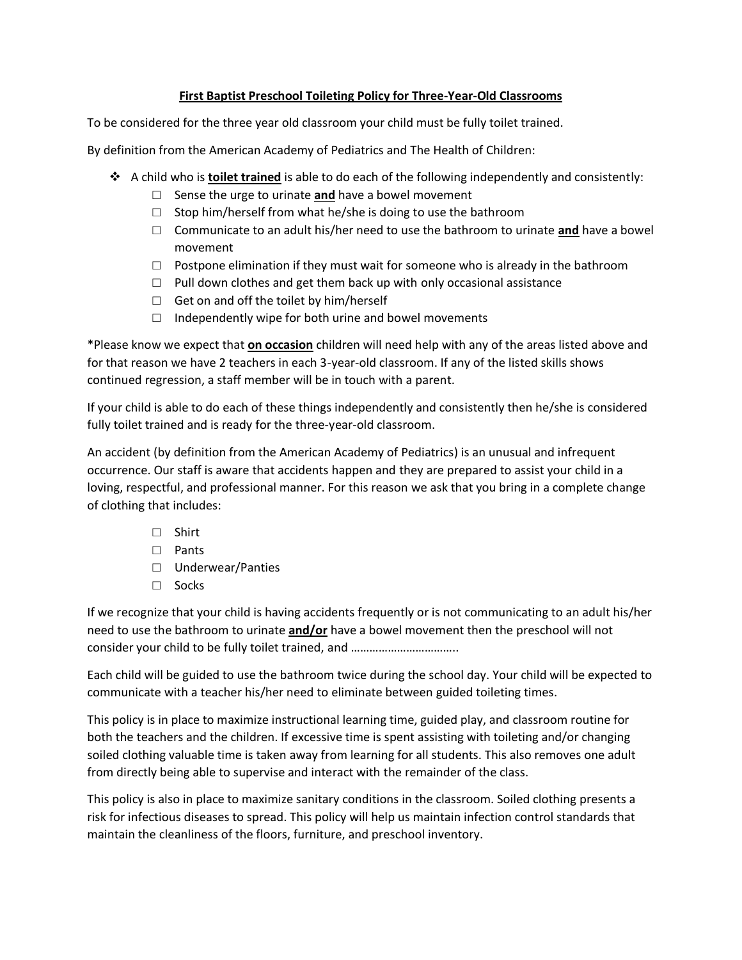## **First Baptist Preschool Toileting Policy for Three-Year-Old Classrooms**

To be considered for the three year old classroom your child must be fully toilet trained.

By definition from the American Academy of Pediatrics and The Health of Children:

- ❖ A child who is **toilet trained** is able to do each of the following independently and consistently:
	- □ Sense the urge to urinate **and** have a bowel movement
	- $\Box$  Stop him/herself from what he/she is doing to use the bathroom
	- □ Communicate to an adult his/her need to use the bathroom to urinate **and** have a bowel movement
	- $\square$  Postpone elimination if they must wait for someone who is already in the bathroom
	- □ Pull down clothes and get them back up with only occasional assistance
	- $\Box$  Get on and off the toilet by him/herself
	- $\Box$  Independently wipe for both urine and bowel movements

\*Please know we expect that **on occasion** children will need help with any of the areas listed above and for that reason we have 2 teachers in each 3-year-old classroom. If any of the listed skills shows continued regression, a staff member will be in touch with a parent.

If your child is able to do each of these things independently and consistently then he/she is considered fully toilet trained and is ready for the three-year-old classroom.

An accident (by definition from the American Academy of Pediatrics) is an unusual and infrequent occurrence. Our staff is aware that accidents happen and they are prepared to assist your child in a loving, respectful, and professional manner. For this reason we ask that you bring in a complete change of clothing that includes:

- □ Shirt
- □ Pants
- □ Underwear/Panties
- □ Socks

If we recognize that your child is having accidents frequently or is not communicating to an adult his/her need to use the bathroom to urinate **and/or** have a bowel movement then the preschool will not consider your child to be fully toilet trained, and ……………………………..

Each child will be guided to use the bathroom twice during the school day. Your child will be expected to communicate with a teacher his/her need to eliminate between guided toileting times.

This policy is in place to maximize instructional learning time, guided play, and classroom routine for both the teachers and the children. If excessive time is spent assisting with toileting and/or changing soiled clothing valuable time is taken away from learning for all students. This also removes one adult from directly being able to supervise and interact with the remainder of the class.

This policy is also in place to maximize sanitary conditions in the classroom. Soiled clothing presents a risk for infectious diseases to spread. This policy will help us maintain infection control standards that maintain the cleanliness of the floors, furniture, and preschool inventory.